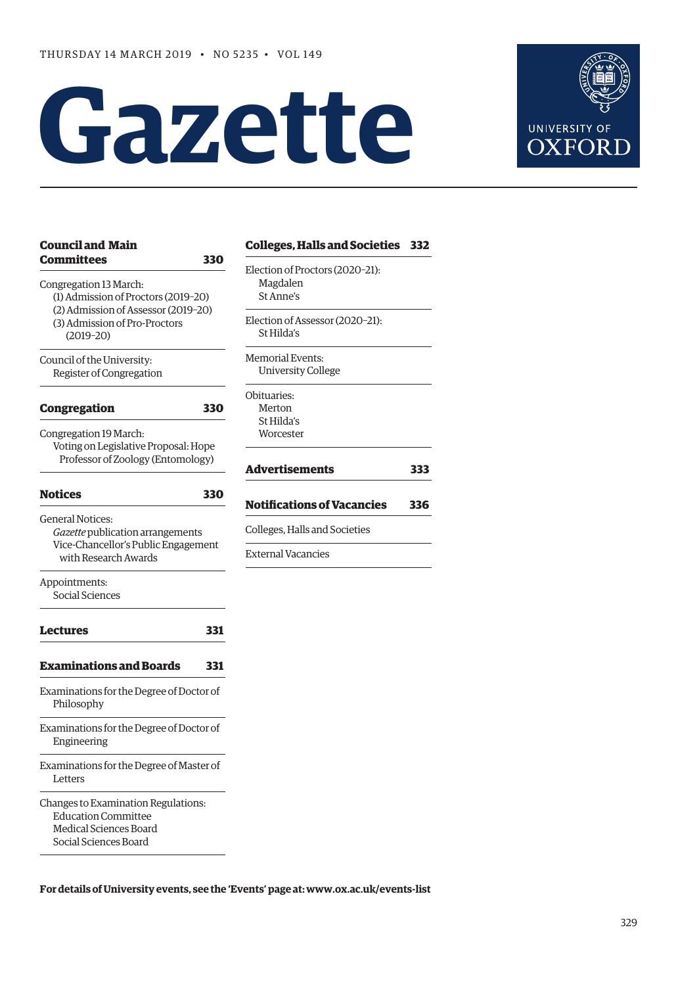# **Gazet te**



| <b>Council and Main</b>                                                                                              |     | <b>Colleges, Halls and Societ</b> |
|----------------------------------------------------------------------------------------------------------------------|-----|-----------------------------------|
| <b>Committees</b>                                                                                                    | 330 | Election of Proctors (2020-21):   |
| Congregation 13 March:                                                                                               |     | Magdalen                          |
| (1) Admission of Proctors (2019-20)                                                                                  |     | St Anne's                         |
| (2) Admission of Assessor (2019-20)                                                                                  |     |                                   |
| (3) Admission of Pro-Proctors                                                                                        |     | Election of Assessor (2020-21):   |
| $(2019 - 20)$                                                                                                        |     | St Hilda's                        |
| Council of the University:                                                                                           |     | <b>Memorial Events:</b>           |
| Register of Congregation                                                                                             |     | <b>University College</b>         |
|                                                                                                                      |     | Obituaries:                       |
| <b>Congregation</b>                                                                                                  | 330 | Merton                            |
|                                                                                                                      |     | St Hilda's                        |
| Congregation 19 March:                                                                                               |     | Worcester                         |
| Voting on Legislative Proposal: Hope<br>Professor of Zoology (Entomology)                                            |     |                                   |
|                                                                                                                      |     | Advertisements                    |
| <b>Notices</b>                                                                                                       | 330 |                                   |
| <b>General Notices:</b>                                                                                              |     | <b>Notifications of Vacancie</b>  |
| Gazette publication arrangements                                                                                     |     | Colleges, Halls and Societies     |
| Vice-Chancellor's Public Engagement                                                                                  |     |                                   |
| with Research Awards                                                                                                 |     | <b>External Vacancies</b>         |
| Appointments:                                                                                                        |     |                                   |
| Social Sciences                                                                                                      |     |                                   |
| Lectures                                                                                                             | 331 |                                   |
| <b>Examinations and Boards</b>                                                                                       | 331 |                                   |
| Examinations for the Degree of Doctor of<br>Philosophy                                                               |     |                                   |
| Examinations for the Degree of Doctor of<br>Engineering                                                              |     |                                   |
| Examinations for the Degree of Master of<br>Letters                                                                  |     |                                   |
| Changes to Examination Regulations:<br><b>Education Committee</b><br>Medical Sciences Board<br>Social Sciences Board |     |                                   |

#### **Societies 332**

 $220 - 21$ : **[Advertisements 333](#page-4-0)** cancies 336 ieties

**For details of University events, see the 'Events' page at: [www.ox.ac.uk/events-list](http://www.ox.ac.uk/events-list)**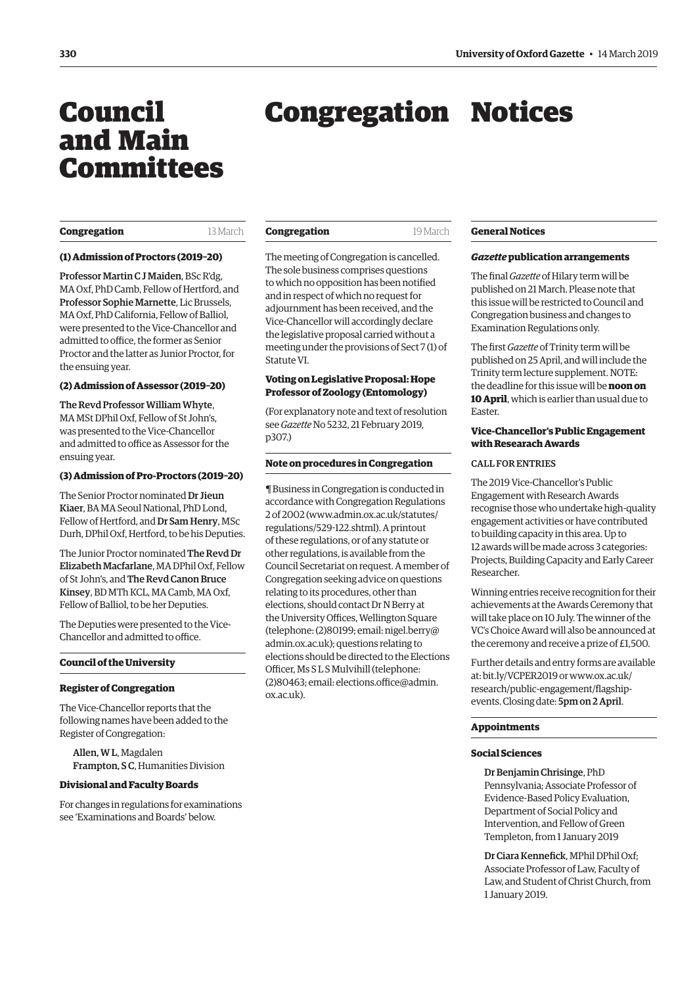## <span id="page-1-0"></span>Council and Main Committees

## Congregation Notices

#### **Congregation** 13 March

**Congregation** 19 March

#### **(1) Admission of Proctors (2019–20)**

Professor Martin C J Maiden, BSc R'dg, MA Oxf, PhD Camb, Fellow of Hertford, and Professor Sophie Marnette, Lic Brussels, MA Oxf, PhD California, Fellow of Balliol, were presented to the Vice-Chancellor and admitted to office, the former as Senior Proctor and the latter as Junior Proctor, for the ensuing year.

#### **(2) Admission of Assessor (2019–20)**

The Revd Professor William Whyte, MA MSt DPhil Oxf, Fellow of St John's, was presented to the Vice-Chancellor and admitted to office as Assessor for the ensuing year.

#### **(3) Admission of Pro-Proctors (2019–20)**

The Senior Proctor nominated Dr Jieun Kiaer, BA MA Seoul National, PhD Lond, Fellow of Hertford, and Dr Sam Henry, MSc Durh, DPhil Oxf, Hertford, to be his Deputies.

The Junior Proctor nominated The Revd Dr Elizabeth Macfarlane, MA DPhil Oxf, Fellow of St John's, and The Revd Canon Bruce Kinsey, BD MTh KCL, MA Camb, MA Oxf, Fellow of Balliol, to be her Deputies.

The Deputies were presented to the Vice-Chancellor and admitted to office.

#### **Council of the University**

#### **Register of Congregation**

The Vice-Chancellor reports that the following names have been added to the Register of Congregation:

Allen, W L, Magdalen Frampton, S C, Humanities Division

#### **Divisional and Faculty Boards**

For changes in regulations for examinations see ['Examinations and Boards'](#page-3-0) below.

The meeting of Congregation is cancelled. The sole business comprises questions to which no opposition has been notified and in respect of which no request for adjournment has been received, and the Vice-Chancellor will accordingly declare the legislative proposal carried without a meeting under the provisions of Sect 7 (1) of Statute VI.

#### **Voting on Legislative Proposal: Hope Professor of Zoology (Entomology)**

(For explanatory note and text of resolution see *Gazette* [No 5232, 21 February 2019,](https://gazette.web.ox.ac.uk/files/21february2019-no5232redactedpdf#page=3) p307.)

#### **Note on procedures in Congregation**

¶ Business in Congregation is conducted in accordance with Congregation Regulations [2 of 2002 \(www.admin.ox.ac.uk/statutes/](www.admin.ox.ac.uk/statute/regulations/529-122.shtml) regulations/529-122.shtml). A printout of these regulations, or of any statute or other regulations, is available from the Council Secretariat on request. A member of Congregation seeking advice on questions relating to its procedures, other than elections, should contact Dr N Berry at the University Offices, Wellington Square (telephone: (2)80199; email: [nigel.berry@](mailto:nigel.berry@admin.ox.ac.uk) [admin.ox.ac.uk\)](mailto:nigel.berry@admin.ox.ac.uk); questions relating to elections should be directed to the Elections Officer, Ms S L S Mulvihill (telephone: (2)80463; email: [elections.office@admin.](mailto:elections.office@admin.ox.ac.uk) [ox.ac.uk](mailto:elections.office@admin.ox.ac.uk)).

#### **General Notices**

#### *Gazette* **publication arrangements**

The final *Gazette* of Hilary term will be published on 21 March. Please note that this issue will be restricted to Council and Congregation business and changes to Examination Regulations only.

The first *Gazette* of Trinity term will be published on 25 April, and will include the Trinity term lecture supplement. NOTE: the deadline for this issue will be **noon on 10 April**, which is earlier than usual due to Easter.

#### **Vice-Chancellor's Public Engagement with Researach Awards**

#### CALL FOR ENTRIES

The 2019 Vice-Chancellor's Public Engagement with Research Awards recognise those who undertake high-quality engagement activities or have contributed to building capacity in this area. Up to 12 awards will be made across 3 categories: Projects, Building Capacity and Early Career Researcher.

Winning entries receive recognition for their achievements at the Awards Ceremony that will take place on 10 July. The winner of the VC's Choice Award will also be announced at the ceremony and receive a prize of £1,500.

Further details and entry forms are available at: [bit.ly/VCPER2019](http://bit.ly/VCPER2019) or www.ox.ac.uk/ [research/public-engagement/flagship](www.ox.ac.uk/research/public-engagement/flagship-events)events. Closing date: 5pm on 2 April.

#### **Appointments**

#### **Social Sciences**

Dr Benjamin Chrisinge, PhD Pennsylvania; Associate Professor of Evidence-Based Policy Evaluation, Department of Social Policy and Intervention, and Fellow of Green Templeton, from 1 January 2019

Dr Ciara Kennefick, MPhil DPhil Oxf; Associate Professor of Law, Faculty of Law, and Student of Christ Church, from 1 January 2019.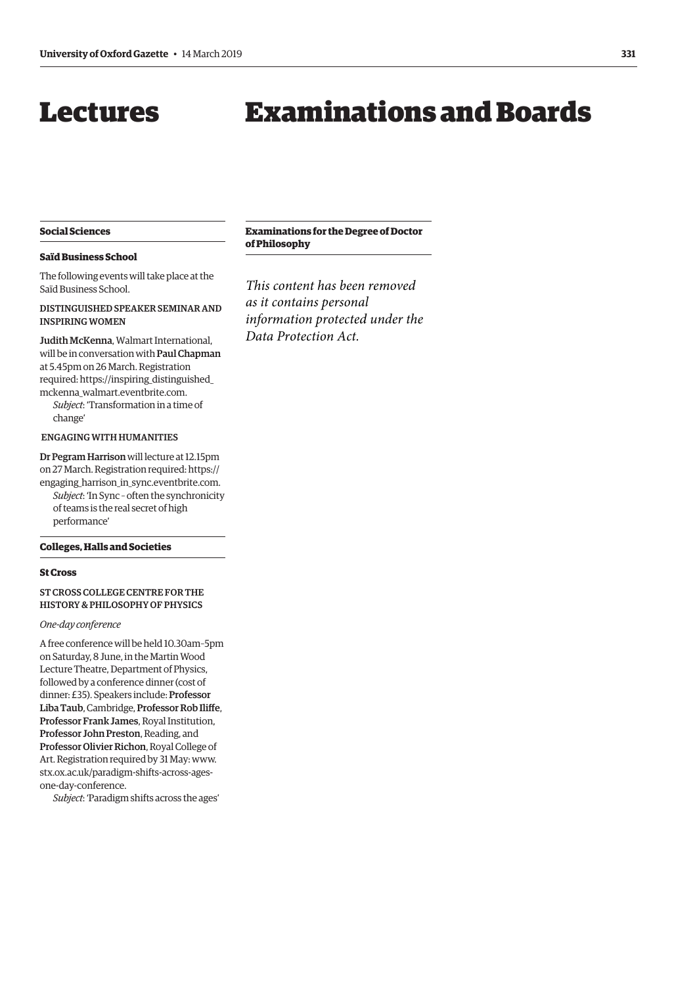## <span id="page-2-0"></span>Lectures

## Examinations and Boards

#### **Social Sciences**

#### **Saïd Business School**

The following events will take place at the Saïd Business School.

#### DISTINGUISHED SPEAKER SEMINAR AND INSPIRING WOMEN

Judith McKenna, Walmart International, will be in conversation with Paul Chapman at 5.45pm on 26 March. Registration [required: https://inspiring\\_distinguished\\_](https://inspiring_distinguished_mckenna_walmart.eventbrite.com) mckenna\_walmart.eventbrite.com.

*Subject*: 'Transformation in a time of change'

#### ENGAGING WITH HUMANITIES

Dr Pegram Harrison will lecture at 12.15pm on 27 March. Registration required: https:// [engaging\\_harrison\\_in\\_sync.eventbrite.com.](https://engaging_harrison_in_sync.eventbrite.com)  *Subject*: 'In Sync – often the synchronicity of teams is the real secret of high performance'

#### **Colleges, Halls and Societies**

#### **St Cross**

ST CROSS COLLEGE CENTRE FOR THE HISTORY & PHILOSOPHY OF PHYSICS

#### *One-day conference*

A free conference will be held 10.30am–5pm on Saturday, 8 June, in the Martin Wood Lecture Theatre, Department of Physics, followed by a conference dinner (cost of dinner: £35). Speakers include: Professor Liba Taub, Cambridge, Professor Rob Iliffe, Professor Frank James, Royal Institution, Professor John Preston, Reading, and Professor Olivier Richon, Royal College of [Art. Registration required by 31 May: www.](www.stx.ox.ac.uk/paradigm-shifts-across-ages-one-day-conference) stx.ox.ac.uk/paradigm-shifts-across-agesone-day-conference.

*Subject*: 'Paradigm shifts across the ages'

#### **Examinations for the Degree of Doctor of Philosophy**

*This content has been removed as it contains personal information protected under the Data Protection Act.*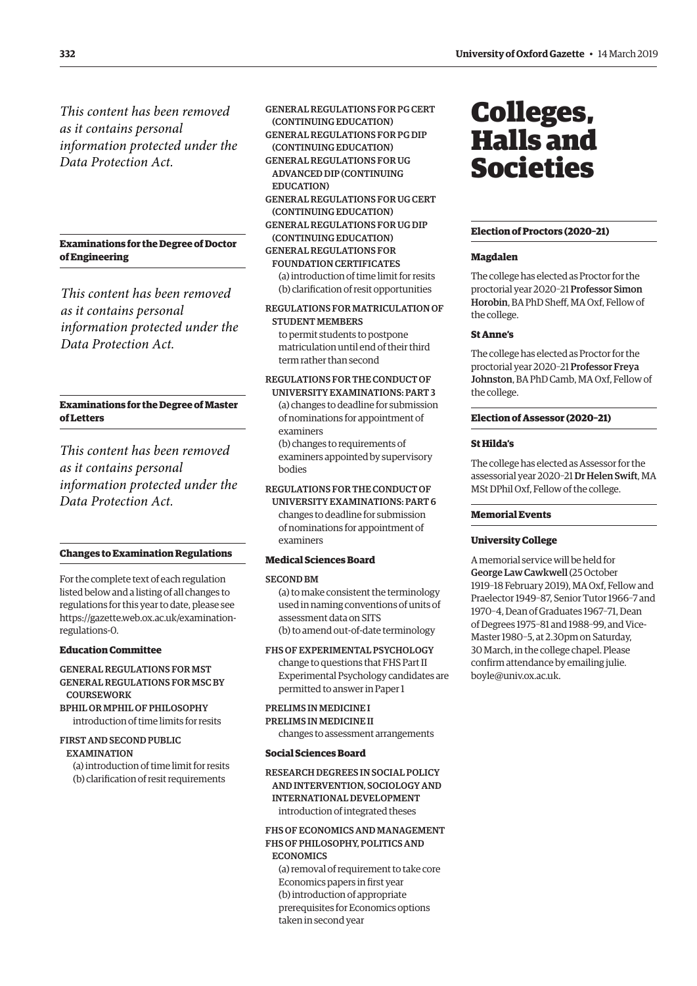<span id="page-3-0"></span>*This content has been removed as it contains personal information protected under the Data Protection Act.*

**Examinations for the Degree of Doctor of Engineering**

*This content has been removed as it contains personal information protected under the Data Protection Act.*

#### **Examinations for the Degree of Master of Letters**

*This content has been removed as it contains personal information protected under the Data Protection Act.*

#### **Changes to Examination Regulations**

For the complete text of each regulation listed below and a listing of all changes to regulations for this year to date, please see [https://gazette.web.ox.ac.uk/examination](https://gazette.web.ox.ac.uk/examination-regulations-0)regulations-0.

#### **Education Committee**

GENERAL REGULATIONS FOR MST GENERAL REGULATIONS FOR MSC BY **COURSEWORK** 

BPHIL OR MPHIL OF PHILOSOPHY introduction of time limits for resits

#### FIRST AND SECOND PUBLIC

**EXAMINATION** 

(a) introduction of time limit for resits (b) clarification of resit requirements

GENERAL REGULATIONS FOR PG CERT (CONTINUING EDUCATION)

GENERAL REGULATIONS FOR PG DIP (CONTINUING EDUCATION)

- GENERAL REGULATIONS FOR UG ADVANCED DIP (CONTINUING EDUCATION)
- GENERAL REGULATIONS FOR UG CERT (CONTINUING EDUCATION)
- GENERAL REGULATIONS FOR UG DIP (CONTINUING EDUCATION)

GENERAL REGULATIONS FOR

FOUNDATION CERTIFICATES (a) introduction of time limit for resits (b) clarification of resit opportunities

REGULATIONS FOR MATRICULATION OF STUDENT MEMBERS to permit students to postpone

matriculation until end of their third term rather than second

### REGULATIONS FOR THE CONDUCT OF

UNIVERSITY EXAMINATIONS: PART 3 (a) changes to deadline for submission of nominations for appointment of examiners

(b) changes to requirements of examiners appointed by supervisory bodies

#### REGULATIONS FOR THE CONDUCT OF

UNIVERSITY EXAMINATIONS: PART 6 changes to deadline for submission of nominations for appointment of examiners

#### **Medical Sciences Board**

#### SECOND BM

(a) to make consistent the terminology used in naming conventions of units of assessment data on SITS (b) to amend out-of-date terminology

FHS OF EXPERIMENTAL PSYCHOLOGY change to questions that FHS Part II Experimental Psychology candidates are

## permitted to answer in Paper 1

PRELIMS IN MEDICINE I PRELIMS IN MEDICINE II

changes to assessment arrangements

#### **Social Sciences Board**

#### RESEARCH DEGREES IN SOCIAL POLICY AND INTERVENTION, SOCIOLOGY AND INTERNATIONAL DEVELOPMENT introduction of integrated theses

#### FHS OF ECONOMICS AND MANAGEMENT FHS OF PHILOSOPHY, POLITICS AND **ECONOMICS**

(a) removal of requirement to take core Economics papers in first year (b) introduction of appropriate prerequisites for Economics options taken in second year

## Colleges, Halls and Societies

#### **Election of Proctors (2020–21)**

#### **Magdalen**

The college has elected as Proctor for the proctorial year 2020–21 Professor Simon Horobin, BA PhD Sheff, MA Oxf, Fellow of the college.

#### **St Anne's**

The college has elected as Proctor for the proctorial year 2020–21 Professor Freya Johnston, BA PhD Camb, MA Oxf, Fellow of the college.

#### **Election of Assessor (2020–21)**

#### **St Hilda's**

The college has elected as Assessor for the assessorial year 2020–21 Dr Helen Swift, MA MSt DPhil Oxf, Fellow of the college.

#### **Memorial Events**

#### **University College**

A memorial service will be held for George Law Cawkwell (25 October 1919–18 February 2019), MA Oxf, Fellow and Praelector 1949–87, Senior Tutor 1966–7 and 1970–4, Dean of Graduates 1967–71, Dean of Degrees 1975–81 and 1988–99, and Vice-Master 1980–5, at 2.30pm on Saturday, 30 March, in the college chapel. Please confirm attendance by emailing [julie.](mailto:julie.boyle@univ.ox.ac.uk) [boyle@univ.ox.ac.uk](mailto:julie.boyle@univ.ox.ac.uk).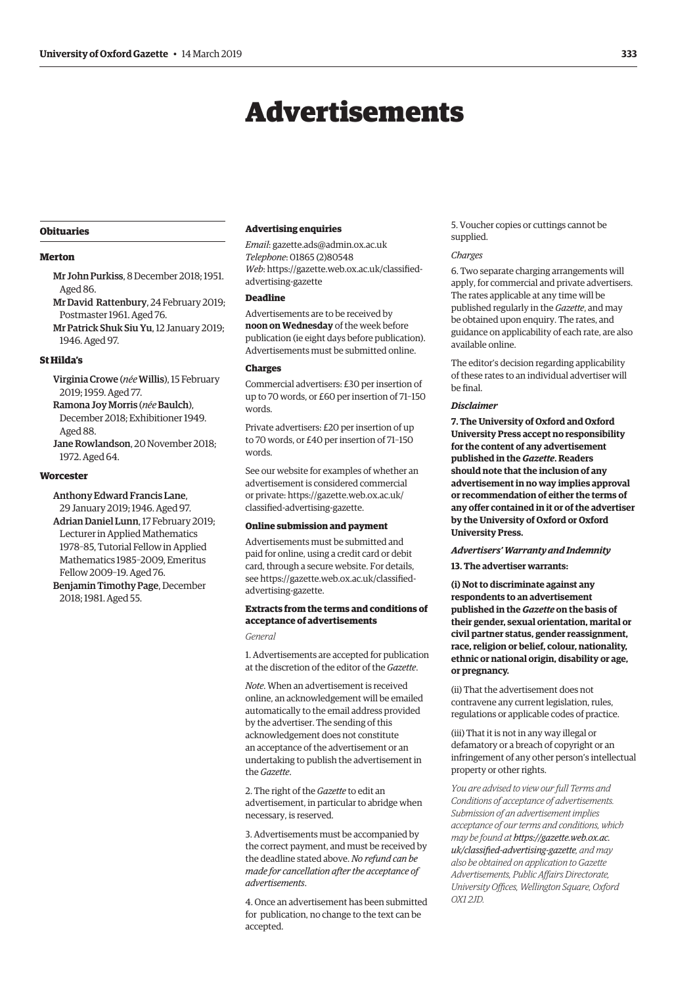## Advertisements

#### <span id="page-4-0"></span>**Obituaries**

#### **Merton**

- Mr John Purkiss, 8 December 2018; 1951. Aged 86.
- Mr David Rattenbury, 24 February 2019; Postmaster 1961. Aged 76.
- Mr Patrick Shuk Siu Yu, 12 January 2019; 1946. Aged 97.

#### **St Hilda's**

- Virginia Crowe (*née*Willis), 15 February 2019; 1959. Aged 77.
- Ramona Joy Morris (*née*Baulch), December 2018; Exhibitioner 1949. Aged 88.
- Jane Rowlandson, 20 November 2018; 1972. Aged 64.

#### **Worcester**

Anthony Edward Francis Lane,

29 January 2019; 1946. Aged 97. Adrian Daniel Lunn, 17 February 2019; Lecturer in Applied Mathematics 1978–85, Tutorial Fellow in Applied Mathematics 1985–2009, Emeritus Fellow 2009–19. Aged 76.

Benjamin Timothy Page, December 2018; 1981. Aged 55.

#### **Advertising enquiries**

*Email*: [gazette.ads@admin.ox.ac.uk](mailto:gazette.ads@admin.ox.ac.uk) *Telephone*: 01865 (2)80548 *Web*[: https://gazette.web.ox.ac.uk/classified](https://gazette.web.ox.ac.uk/classified-advertising-gazette)advertising-gazette

#### **Deadline**

Advertisements are to be received by **noon on Wednesday** of the week before publication (ie eight days before publication). Advertisements must be submitted online.

#### **Charges**

Commercial advertisers: £30 per insertion of up to 70 words, or £60 per insertion of 71–150 words.

Private advertisers: £20 per insertion of up to 70 words, or £40 per insertion of 71–150 words.

See our website for examples of whether an advertisement is considered commercial [or private: https://gazette.web.ox.ac.uk/](https://gazette.web.ox.ac.uk/classified-advertising-gazette) classified-advertising-gazette.

#### **Online submission and payment**

Advertisements must be submitted and paid for online, using a credit card or debit card, through a secure website. For details, [see https://gazette.web.ox.ac.uk/classified](https://gazette.web.ox.ac.uk/classified-advertising-gazette)advertising-gazette.

#### **Extracts from the terms and conditions of acceptance of advertisements**

*General*

1. Advertisements are accepted for publication at the discretion of the editor of the *Gazette*.

*Note*. When an advertisement is received online, an acknowledgement will be emailed automatically to the email address provided by the advertiser. The sending of this acknowledgement does not constitute an acceptance of the advertisement or an undertaking to publish the advertisement in the *Gazette*.

2. The right of the *Gazette* to edit an advertisement, in particular to abridge when necessary, is reserved.

3. Advertisements must be accompanied by the correct payment, and must be received by the deadline stated above. *No refund can be made for cancellation after the acceptance of advertisements*.

4. Once an advertisement has been submitted for publication, no change to the text can be accepted.

5. Voucher copies or cuttings cannot be supplied.

#### *Charges*

6. Two separate charging arrangements will apply, for commercial and private advertisers. The rates applicable at any time will be published regularly in the *Gazette*, and may be obtained upon enquiry. The rates, and guidance on applicability of each rate, are also available online.

The editor's decision regarding applicability of these rates to an individual advertiser will be final.

#### *Disclaimer*

**7. The University of Oxford and Oxford University Press accept no responsibility for the content of any advertisement published in the** *Gazette***. Readers should note that the inclusion of any advertisement in no way implies approval or recommendation of either the terms of any offer contained in it or of the advertiser by the University of Oxford or Oxford University Press.**

#### *Advertisers' Warranty and Indemnity*

**13. The advertiser warrants:**

**(i) Not to discriminate against any respondents to an advertisement published in the** *Gazette* **on the basis of their gender, sexual orientation, marital or civil partner status, gender reassignment, race, religion or belief, colour, nationality, ethnic or national origin, disability or age, or pregnancy.**

(ii) That the advertisement does not contravene any current legislation, rules, regulations or applicable codes of practice.

(iii) That it is not in any way illegal or defamatory or a breach of copyright or an infringement of any other person's intellectual property or other rights.

*You are advised to view our full Terms and Conditions of acceptance of advertisements. Submission of an advertisement implies acceptance of our terms and conditions, which may be found at https://gazette.web.ox.ac. [uk/classified-advertising-gazette](https://gazette.web.ox.ac.uk/classified-advertising-gazette), and may also be obtained on application to Gazette Advertisements, Public Affairs Directorate, University Offices, Wellington Square, Oxford OX1 2JD.*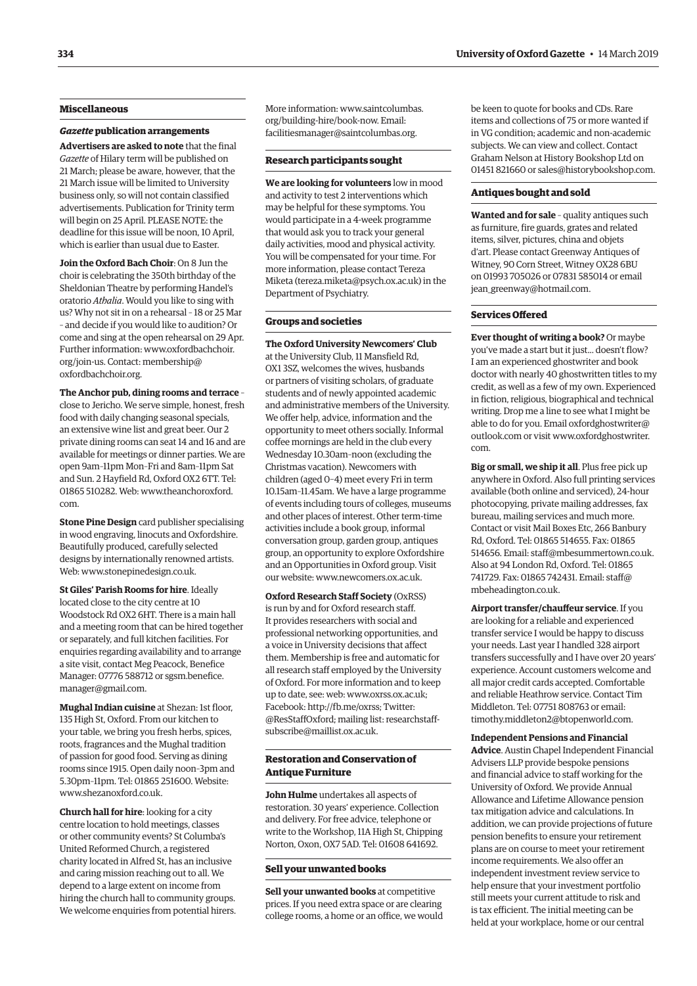#### **Miscellaneous**

#### *Gazette* **publication arrangements**

**Advertisers are asked to note** that the final *Gazette* of Hilary term will be published on 21 March; please be aware, however, that the 21 March issue will be limited to University business only, so will not contain classified advertisements. Publication for Trinity term will begin on 25 April. PLEASE NOTE: the deadline for this issue will be noon, 10 April, which is earlier than usual due to Easter.

**Join the Oxford Bach Choir**: On 8 Jun the choir is celebrating the 350th birthday of the Sheldonian Theatre by performing Handel's oratorio *Athalia*. Would you like to sing with us? Why not sit in on a rehearsal – 18 or 25 Mar – and decide if you would like to audition? Or come and sing at the open rehearsal on 29 Apr. Further informati[on: www.oxfordbachchoir.](www.oxfordbachchoir.org/join-us) org/join-us. Contact: [membership@](mailto:membership@oxfordbachchoir.org) [oxfordbachchoir.org.](mailto:membership@oxfordbachchoir.org)

**The Anchor pub, dining rooms and terrace** – close to Jericho. We serve simple, honest, fresh food with daily changing seasonal specials, an extensive wine list and great beer. Our 2 private dining rooms can seat 14 and 16 and are available for meetings or dinner parties. We are open 9am–11pm Mon–Fri and 8am–11pm Sat and Sun. 2 Hayfield Rd, Oxford OX2 6TT. Tel: 01865 510282. Web: [www.theanchoroxford.](http://www.theanchoroxford.com) [com.](http://www.theanchoroxford.com)

**Stone Pine Design** card publisher specialising in wood engraving, linocuts and Oxfordshire. Beautifully produced, carefully selected designs by internationally renowned artists. Web: [www.stonepinedesign.co.uk](http://www.stonepinedesign.co.uk).

**St Giles' Parish Rooms for hire**. Ideally located close to the city centre at 10 Woodstock Rd OX2 6HT. There is a main hall and a meeting room that can be hired together or separately, and full kitchen facilities. For enquiries regarding availability and to arrange a site visit, contact Meg Peacock, Benefice Manager: 07776 588712 or [sgsm.benefice.](mailto:sgsm.benefice.manager@gmail.com) [manager@gmail.com.](mailto:sgsm.benefice.manager@gmail.com)

**Mughal Indian cuisine** at Shezan: 1st floor, 135 High St, Oxford. From our kitchen to your table, we bring you fresh herbs, spices, roots, fragrances and the Mughal tradition of passion for good food. Serving as dining rooms since 1915. Open daily noon–3pm and 5.30pm–11pm. Tel: 01865 251600. Website: [www.shezanoxford.co.uk](http://www.shezanoxford.co.uk).

**Church hall for hire**: looking for a city centre location to hold meetings, classes or other community events? St Columba's United Reformed Church, a registered charity located in Alfred St, has an inclusive and caring mission reaching out to all. We depend to a large extent on income from hiring the church hall to community groups. We welcome enquiries from potential hirers. [More information: www.saintcolumbas.](www.saintcolumbas.org/building-hire/book-now) org/building-hire/book-now. Email: [facilitiesmanager@saintcolumbas.org.](mailto:facilitiesmanager@saintcolumbas.org)

#### **Research participants sought**

**We are looking for volunteers** low in mood and activity to test 2 interventions which may be helpful for these symptoms. You would participate in a 4-week programme that would ask you to track your general daily activities, mood and physical activity. You will be compensated for your time. For more information, please contact Tereza Miketa [\(tereza.miketa@psych.ox.ac.uk\)](mailto:(tereza.miketa@psych.ox.ac.uk) in the Department of Psychiatry.

#### **Groups and societies**

**The Oxford University Newcomers' Club**  at the University Club, 11 Mansfield Rd, OX1 3SZ, welcomes the wives, husbands or partners of visiting scholars, of graduate students and of newly appointed academic and administrative members of the University. We offer help, advice, information and the opportunity to meet others socially. Informal coffee mornings are held in the club every Wednesday 10.30am–noon (excluding the Christmas vacation). Newcomers with children (aged 0–4) meet every Fri in term 10.15am–11.45am. We have a large programme of events including tours of colleges, museums and other places of interest. Other term-time activities include a book group, informal conversation group, garden group, antiques group, an opportunity to explore Oxfordshire and an Opportunities in Oxford group. Visit our website: [www.newcomers.ox.ac.uk](http://www.newcomers.ox.ac.uk).

**Oxford Research Staff Society** (OxRSS) is run by and for Oxford research staff. It provides researchers with social and professional networking opportunities, and a voice in University decisions that affect them. Membership is free and automatic for all research staff employed by the University of Oxford. For more information and to keep up to date, see: web: [www.oxrss.ox.ac.uk;](http://www.oxrss.ox.ac.uk) Facebook: [http://fb.me/oxrss; T](http://fb.me/oxrss)witter: [@ResStaffOxford](https://twitter.com/resstaffoxford); mailing list: [researchstaff](mailto:researchstaff-subscribe@maillist.ox.ac.uk)[subscribe@maillist.ox.ac.uk](mailto:researchstaff-subscribe@maillist.ox.ac.uk).

#### **Restoration and Conservation of Antique Furniture**

**John Hulme** undertakes all aspects of restoration. 30 years' experience. Collection and delivery. For free advice, telephone or write to the Workshop, 11A High St, Chipping Norton, Oxon, OX7 5AD. Tel: 01608 641692.

#### **Sell your unwanted books**

**Sell your unwanted books** at competitive prices. If you need extra space or are clearing college rooms, a home or an office, we would be keen to quote for books and CDs. Rare items and collections of 75 or more wanted if in VG condition; academic and non-academic subjects. We can view and collect. Contact Graham Nelson at History Bookshop Ltd on 01451 821660 or [sales@historybookshop.com](mailto:sales@historybookshop.com).

#### **Antiques bought and sold**

**Wanted and for sale** – quality antiques such as furniture, fire guards, grates and related items, silver, pictures, china and objets d'art. Please contact Greenway Antiques of Witney, 90 Corn Street, Witney OX28 6BU on 01993 705026 or 07831 585014 or email [jean\\_greenway@hotmail.com](mailto:jean_greenway@hotmail.com).

#### **Services Offered**

**Ever thought of writing a book?** Or maybe you've made a start but it just... doesn't flow? I am an experienced ghostwriter and book doctor with nearly 40 ghostwritten titles to my credit, as well as a few of my own. Experienced in fiction, religious, biographical and technical writing. Drop me a line to see what I might be able to do for you. Email [oxfordghostwriter@](mailto:oxfordghostwriter@outlook.com) [outlook.com](mailto:oxfordghostwriter@outlook.com) or visit [www.oxfordghostwriter.](http://www.oxfordghostwriter.com) [com](http://www.oxfordghostwriter.com).

**Big or small, we ship it all**. Plus free pick up anywhere in Oxford. Also full printing services available (both online and serviced), 24-hour photocopying, private mailing addresses, fax bureau, mailing services and much more. Contact or visit Mail Boxes Etc, 266 Banbury Rd, Oxford. Tel: 01865 514655. Fax: 01865 514656. Email: [staff@mbesummertown.co.uk](mailto:staff@mbesummertown.co.uk). Also at 94 London Rd, Oxford. Tel: 01865 741729. Fax: 01865 742431. Email: [staff@](mailto:staff@mbeheadington.co.uk) [mbeheadington.co.uk.](mailto:staff@mbeheadington.co.uk)

**Airport transfer/chauffeur service**. If you are looking for a reliable and experienced transfer service I would be happy to discuss your needs. Last year I handled 328 airport transfers successfully and I have over 20 years' experience. Account customers welcome and all major credit cards accepted. Comfortable and reliable Heathrow service. Contact Tim Middleton. Tel: 07751 808763 or email: [timothy.middleton2@btopenworld.com](mailto:timothy.middleton2@btopenworld.com).

**Independent Pensions and Financial Advice**. Austin Chapel Independent Financial Advisers LLP provide bespoke pensions and financial advice to staff working for the University of Oxford. We provide Annual Allowance and Lifetime Allowance pension tax mitigation advice and calculations. In addition, we can provide projections of future pension benefits to ensure your retirement plans are on course to meet your retirement income requirements. We also offer an independent investment review service to help ensure that your investment portfolio still meets your current attitude to risk and is tax efficient. The initial meeting can be held at your workplace, home or our central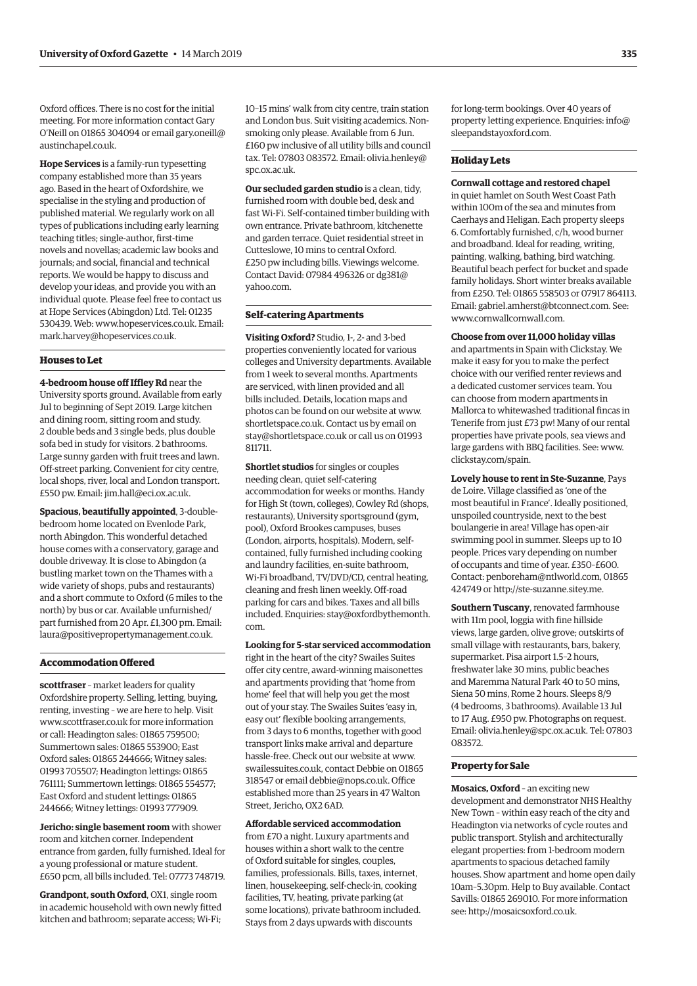Oxford offices. There is no cost for the initial meeting. For more information contact Gary O'Neill on 01865 304094 or email [gary.oneill@](mailto:gary.oneill@austinchapel.co.uk) [austinchapel.co.uk.](mailto:gary.oneill@austinchapel.co.uk)

**Hope Services** is a family-run typesetting company established more than 35 years ago. Based in the heart of Oxfordshire, we specialise in the styling and production of published material. We regularly work on all types of publications including early learning teaching titles; single-author, first-time novels and novellas; academic law books and journals; and social, financial and technical reports. We would be happy to discuss and develop your ideas, and provide you with an individual quote. Please feel free to contact us at Hope Services (Abingdon) Ltd. Tel: 01235 530439. Web: [www.hopeservices.co.uk](http://www.hopeservices.co.uk). Email: [mark.harvey@hopeservices.co.uk](mailto:mark.harvey@hopeservices.co.uk).

#### **Houses to Let**

**4-bedroom house off Iffley Rd** near the University sports ground. Available from early Jul to beginning of Sept 2019. Large kitchen and dining room, sitting room and study. 2 double beds and 3 single beds, plus double sofa bed in study for visitors. 2 bathrooms. Large sunny garden with fruit trees and lawn. Off-street parking. Convenient for city centre, local shops, river, local and London transport. £550 pw. Email: [jim.hall@eci.ox.ac.uk](mailto:jim.hall@eci.ox.ac.uk).

**Spacious, beautifully appointed**, 3-doublebedroom home located on Evenlode Park, north Abingdon. This wonderful detached house comes with a conservatory, garage and double driveway. It is close to Abingdon (a bustling market town on the Thames with a wide variety of shops, pubs and restaurants) and a short commute to Oxford (6 miles to the north) by bus or car. Available unfurnished/ part furnished from 20 Apr. £1,300 pm. Email: [laura@positivepropertymanagement.co.uk](mailto:laura@positivepropertymanagement.co.uk).

#### **Accommodation Offered**

**scottfraser** – market leaders for quality Oxfordshire property. Selling, letting, buying, renting, investing – we are here to help. Visit [www.scottfraser.co.uk](http://www.scottfraser.co.uk) for more information or call: Headington sales: 01865 759500; Summertown sales: 01865 553900; East Oxford sales: 01865 244666; Witney sales: 01993 705507; Headington lettings: 01865 761111; Summertown lettings: 01865 554577; East Oxford and student lettings: 01865 244666; Witney lettings: 01993 777909.

**Jericho: single basement room** with shower room and kitchen corner. Independent entrance from garden, fully furnished. Ideal for a young professional or mature student. £650 pcm, all bills included. Tel: 07773 748719.

**Grandpont, south Oxford**, OX1, single room in academic household with own newly fitted kitchen and bathroom; separate access; Wi-Fi;

10–15 mins' walk from city centre, train station and London bus. Suit visiting academics. Nonsmoking only please. Available from 6 Jun. £160 pw inclusive of all utility bills and council tax. Tel: 07803 083572. Email: [olivia.henley@](mailto:olivia.henley@spc.ox.ac.uk) [spc.ox.ac.uk.](mailto:olivia.henley@spc.ox.ac.uk)

**Our secluded garden studio** is a clean, tidy, furnished room with double bed, desk and fast Wi-Fi. Self-contained timber building with own entrance. Private bathroom, kitchenette and garden terrace. Quiet residential street in Cutteslowe, 10 mins to central Oxford. £250 pw including bills. Viewings welcome. Contact David: 07984 496326 or [dg381@](mailto:dg381@yahoo.com) [yahoo.com](mailto:dg381@yahoo.com).

#### **Self-catering Apartments**

**Visiting Oxford?** Studio, 1-, 2- and 3-bed properties conveniently located for various colleges and University departments. Available from 1 week to several months. Apartments are serviced, with linen provided and all bills included. Details, location maps and photos can be found on our website at [www.](http://www.shortletspace.co.uk) [shortletspace.co.uk](http://www.shortletspace.co.uk). Contact us by email on [stay@shortletspace.co.uk](mailto:stay@shortletspace.co.uk) or call us on 01993 811711.

**Shortlet studios** for singles or couples needing clean, quiet self-catering accommodation for weeks or months. Handy for High St (town, colleges), Cowley Rd (shops, restaurants), University sportsground (gym, pool), Oxford Brookes campuses, buses (London, airports, hospitals). Modern, selfcontained, fully furnished including cooking and laundry facilities, en-suite bathroom, Wi-Fi broadband, TV/DVD/CD, central heating, cleaning and fresh linen weekly. Off-road parking for cars and bikes. Taxes and all bills included. Enquiries: [stay@oxfordbythemonth.](mailto:stay@oxfordbythemonth.com) [com.](mailto:stay@oxfordbythemonth.com)

**Looking for 5-star serviced accommodation** right in the heart of the city? Swailes Suites offer city centre, award-winning maisonettes and apartments providing that 'home from home' feel that will help you get the most out of your stay. The Swailes Suites 'easy in, easy out' flexible booking arrangements, from 3 days to 6 months, together with good transport links make arrival and departure hassle-free. Check out our website at [www.](http://www.swailessuites.co.uk) [swailessuites.co.uk](http://www.swailessuites.co.uk), contact Debbie on 01865 318547 or email [debbie@nops.co.uk](mailto:debbie@nops.co.uk). Office established more than 25 years in 47 Walton Street, Jericho, OX2 6AD.

**Affordable serviced accommodation** from £70 a night. Luxury apartments and houses within a short walk to the centre of Oxford suitable for singles, couples, families, professionals. Bills, taxes, internet, linen, housekeeping, self-check-in, cooking facilities, TV, heating, private parking (at some locations), private bathroom included. Stays from 2 days upwards with discounts

for long-term bookings. Over 40 years of property letting experience. Enquiries: [info@](mailto:info@sleepandstayoxford.com) [sleepandstayoxford.com](mailto:info@sleepandstayoxford.com).

#### **Holiday Lets**

**Cornwall cottage and restored chapel** in quiet hamlet on South West Coast Path within 100m of the sea and minutes from Caerhays and Heligan. Each property sleeps 6. Comfortably furnished, c/h, wood burner and broadband. Ideal for reading, writing, painting, walking, bathing, bird watching. Beautiful beach perfect for bucket and spade family holidays. Short winter breaks available from £250. Tel: 01865 558503 or 07917 864113. Email: [gabriel.amherst@btconnect.com](mailto:gabriel.amherst@btconnect.com). See: [www.cornwallcornwall.com.](http://www.cornwallcornwall.com)

**Choose from over 11,000 holiday villas** and apartments in Spain with Clickstay. We make it easy for you to make the perfect choice with our verified renter reviews and a dedicated customer services team. You can choose from modern apartments in Mallorca to whitewashed traditional fincas in Tenerife from just £73 pw! Many of our rental properties have private pools, sea views and [large gardens with BBQ facilities. See: www.](www.clickstay.com/spain) clickstay.com/spain.

**Lovely house to rent in Ste-Suzanne**, Pays de Loire. Village classified as 'one of the most beautiful in France'. Ideally positioned, unspoiled countryside, next to the best boulangerie in area! Village has open-air swimming pool in summer. Sleeps up to 10 people. Prices vary depending on number of occupants and time of year. £350–£600. Contact: [penboreham@ntlworld.com](mailto:penboreham@ntlworld.com), 01865 424749 or <http://ste-suzanne.sitey.me>.

**Southern Tuscany**, renovated farmhouse with 11m pool, loggia with fine hillside views, large garden, olive grove; outskirts of small village with restaurants, bars, bakery, supermarket. Pisa airport 1.5–2 hours, freshwater lake 30 mins, public beaches and Maremma Natural Park 40 to 50 mins, Siena 50 mins, Rome 2 hours. Sleeps 8/9 (4 bedrooms, 3 bathrooms). Available 13 Jul to 17 Aug. £950 pw. Photographs on request. Email: [olivia.henley@spc.ox.ac.uk.](mailto:olivia.henley@spc.ox.ac.uk) Tel: 07803 083572.

#### **Property for Sale**

**Mosaics, Oxford** – an exciting new development and demonstrator NHS Healthy New Town – within easy reach of the city and Headington via networks of cycle routes and public transport. Stylish and architecturally elegant properties: from 1-bedroom modern apartments to spacious detached family houses. Show apartment and home open daily 10am–5.30pm. Help to Buy available. Contact Savills: 01865 269010. For more information see:<http://mosaicsoxford.co.uk>.